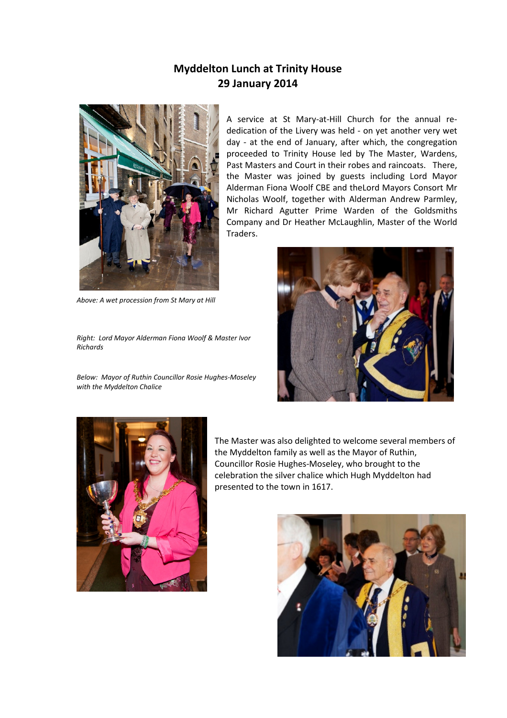## Myddelton Lunch at Trinity House 29 January 2014



Above: A wet procession from St Mary at Hill

Right: Lord Mayor Alderman Fiona Woolf & Master Ivor Richards

Below: Mayor of Ruthin Councillor Rosie Hughes-Moseley with the Myddelton Chalice

A service at St Mary-at-Hill Church for the annual rededication of the Livery was held - on yet another very wet day - at the end of January, after which, the congregation proceeded to Trinity House led by The Master, Wardens, Past Masters and Court in their robes and raincoats. There, the Master was joined by guests including Lord Mayor Alderman Fiona Woolf CBE and theLord Mayors Consort Mr Nicholas Woolf, together with Alderman Andrew Parmley, Mr Richard Agutter Prime Warden of the Goldsmiths Company and Dr Heather McLaughlin, Master of the World Traders.





The Master was also delighted to welcome several members of the Myddelton family as well as the Mayor of Ruthin, Councillor Rosie Hughes-Moseley, who brought to the celebration the silver chalice which Hugh Myddelton had presented to the town in 1617.